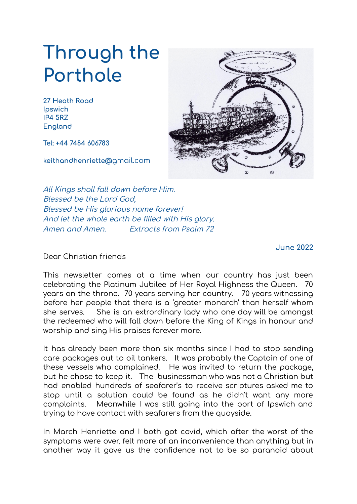## **Through the Porthole**

**27 Heath Road Ipswich IP4 5RZ England**

**Tel: +44 7484 606783**

**keithandhenriette@**gmail.com



All Kings shall fall down before Him. Blessed be the Lord God, Blessed be His glorious name forever! And let the whole earth be filled with His glory. Amen and Amen. Extracts from Psalm 72

**June 2022**

Dear Christian friends

This newsletter comes at a time when our country has just been celebrating the Platinum Jubilee of Her Royal Highness the Queen. 70 years on the throne. 70 years serving her country. 70 years witnessing before her people that there is a 'greater monarch' than herself whom she serves. She is an extrordinary lady who one day will be amongst the redeemed who will fall down before the King of Kings in honour and worship and sing His praises forever more.

It has already been more than six months since I had to stop sending care packages out to oil tankers. It was probably the Captain of one of these vessels who complained. He was invited to return the package, but he chose to keep it. The businessman who was not a Christian but had enabled hundreds of seafarer's to receive scriptures asked me to stop until a solution could be found as he didn't want any more complaints. Meanwhile I was still going into the port of Ipswich and trying to have contact with seafarers from the quayside.

In March Henriette and I both got covid, which after the worst of the symptoms were over, felt more of an inconvenience than anything but in another way it gave us the confidence not to be so paranoid about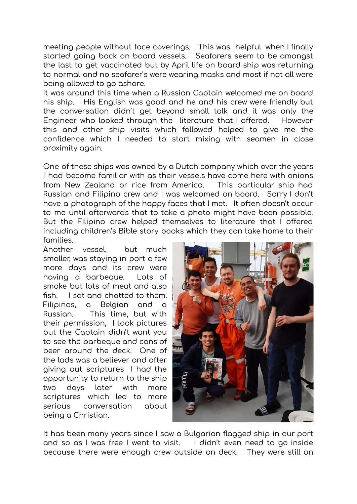meeting people without face coverings. This was helpful when I finally started going back on board vessels. Seafarers seem to be amongst the last to get vaccinated but by April life on board ship was returning to normal and no seafarer's were wearing masks and most if not all were being allowed to go ashore.

It was around this time when a Russian Captain welcomed me on board his ship. His English was good and he and his crew were friendly but the conversation didn't get beyond small talk and it was only the Engineer who looked through the literature that I offered. However this and other ship visits which followed helped to give me the confidence which I needed to start mixing with seamen in close proximity again.

One of these ships was owned by a Dutch company which over the years I had become familiar with as their vessels have come here with onions from New Zealand or rice from America. This particular ship had Russian and Filipino crew and I was welcomed on board. Sorry I don't have a photograph of the happy faces that I met. It often doesn't occur to me until afterwards that to take a photo might have been possible. But the Filipino crew helped themselves to literature that I offered including children's Bible story books which they can take home to their families.

Another vessel, but much smaller, was staying in port a few more days and its crew were having a barbeque. Lots of smoke but lots of meat and also fish. I sat and chatted to them. Filipinos, a Belgian and a Russian. This time, but with their permission, I took pictures but the Captain didn't want you to see the barbeque and cans of beer around the deck. One of the lads was a believer and after giving out scriptures I had the opportunity to return to the ship two days later with more scriptures which led to more serious conversation about being a Christian.



It has been many years since I saw a Bulgarian flagged ship in our port and so as I was free I went to visit. I didn't even need to go inside because there were enough crew outside on deck. They were still on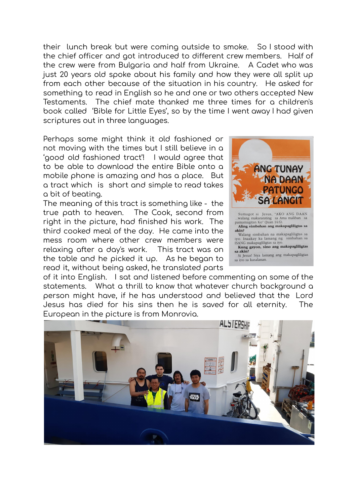their lunch break but were coming outside to smoke. So I stood with the chief officer and got introduced to different crew members. Half of the crew were from Bulgaria and half from Ukraine. A Cadet who was just 20 years old spoke about his family and how they were all split up from each other because of the situation in his country. He asked for something to read in English so he and one or two others accepted New Testaments. The chief mate thanked me three times for a children's book called 'Bible for Little Eyes', so by the time I went away I had given scriptures out in three languages.

Perhaps some might think it old fashioned or not moving with the times but I still believe in a 'good old fashioned tract'! I would agree that to be able to download the entire Bible onto a mobile phone is amazing and has a place. But a tract which is short and simple to read takes a bit of beating.

The meaning of this tract is something like - the true path to heaven. The Cook, second from right in the picture, had finished his work. The third cooked meal of the day. He came into the mess room where other crew members were relaxing after a day's work. This tract was on the table and he picked it up. As he began to read it, without being asked, he translated parts



of it into English. I sat and listened before commenting on some of the statements. What a thrill to know that whatever church background a person might have, if he has understood and believed that the Lord Jesus has died for his sins then he is saved for all eternity. The European in the picture is from Monrovia.